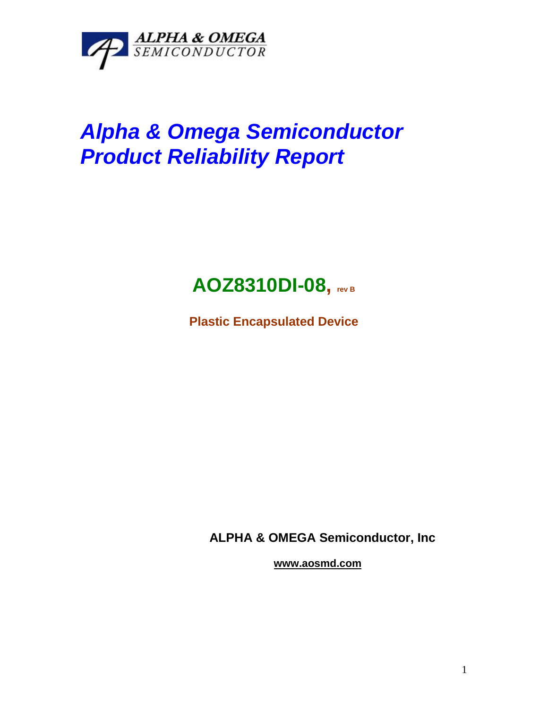

# *Alpha & Omega Semiconductor Product Reliability Report*

# **AOZ8310DI-08, rev <sup>B</sup>**

**Plastic Encapsulated Device**

**ALPHA & OMEGA Semiconductor, Inc**

**www.aosmd.com**